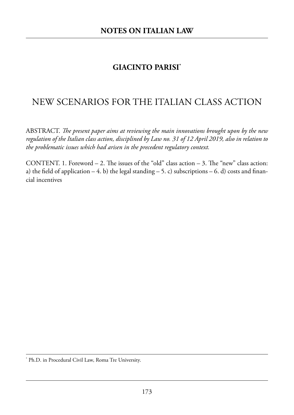# **GIACINTO PARISI\***

# New SceNarioS for the italiaN claSS actioN

aBStract. *e present paper aims at reviewing the main innovations brought upon by the new regulation of the Italian class action, disciplined by Law no. 31 of 12 April 2019, also in relation to the problematic issues which had arisen in the precedent regulatory context.*

CONTENT. 1. Foreword  $-2$ . The issues of the "old" class action  $-3$ . The "new" class action: a) the field of application  $-4$ . b) the legal standing  $-5$ . c) subscriptions  $-6$ . d) costs and financial incentives

<sup>\*</sup> Ph.D. in Procedural Civil Law, Roma Tre University.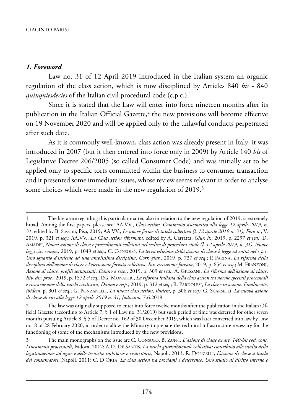#### *1. Foreword*

Law no. 31 of 12 April 2019 introduced in the Italian system an organic regulation of the class action, which is now disciplined by Articles 840 bis - 840 *quinquiesdecies* of the Italian civil procedural code (c.p.c.).<sup>1</sup>

since it is stated that the law will enter into force nineteen months after its publication in the Italian Official Gazette, $2$  the new provisions will become effective on 19 November 2020 and will be applied only to the unlawful conducts perpetrated after such date.

As it is commonly well-known, class action was already present in Italy: it was introduced in 2007 (but it then entered into force only in 2009) by article 140 *bis* of Legislative Decree 206/2005 (so called Consumer Code) and was initially set to be applied only to specific torts committed within the business to consumer transaction and it presented some immediate issues, whose review seems relevant in order to analyse some choices which were made in the new regulation of 2019.<sup>3</sup>

<sup>1</sup> The literature regarding this particular matter, also in relation to the new regulation of 2019, is extremely broad. among the first papers, please see: aa.VV., *Class action. Commento sistematico alla legge 12 aprile 2019, n. 31*, edited by B. sassani, pisa, 2019; aa.VV., *Le nuove forme di tutela collettiva (l. 12 aprile 2019 n. 31)*, *Foro it.*, V, 2019, p. 321 et seq.; AA.VV., *La Class action riformata*, edited by A. Carratta, *Giur. it.*, 2019, p. 2297 et seq.; D. amadei, *Nuova azione di classe e procedimenti collettivi nel codice di procedura civile (l. 12 aprile 2019, n. 31)*, *Nuove leggi civ. comm.*, 2019, p. 1049 *et seq*.; C. Consolo, *La terza edizione della azione di classe è legge ed entra nel c.p.c. Uno sguardo d'insieme ad una amplissima disciplina*, *Corr. giur.*, 2019, p. 737 *et seq*.; p. farina, *La riforma della disciplina dell'azione di classe e l'esecuzione forzata collettiva*, *Riv. esecuzione forzata*, 2019, p. 654 *et seq*.; m. franZoni, *Azione di classe, profili sostanziali*, *Danno e resp.*, 2019, p. 309 *et seq*.; a. Giussani, *La riforma dell'azione di classe*, *Riv. dir. proc.*, 2019, p. 1572 *et seq*.; p.G. monateri, *La riforma italiana della class action tra norme speciali processuali e ricostruzione della tutela civilistica*, *Danno e resp.*, 2019, p. 312 *et seq*.; r. pardolesi, *La classe in azione. Finalmente*, *ibidem*, p. 301 *et seq*.; G. ponZanelli, *La nuova class action*, *ibidem*, p. 306 *et seq*.; G. sCarselli, *La nuova azione di classe di cui alla legge 12 aprile 2019 n. 31*, *Judicium*, 7.6.2019.

The law was originally supposed to enter into force twelve months after the publication in the Italian Official Gazette (according to Article 7, § 1 of Law no. 31/2019) but such period of time was deferred for other seven months pursuing Article 8, § 5 of Decree no. 162 of 30 December 2019, which was later converted into law by Law no. 8 of 28 February 2020, in order to allow the Ministry to prepare the technical infrastructure necessary for the functioning of some of the mechanisms introduced by the new provisions.

The main monographs on the issue are C. CONSOLO, B. ZUFFI, *L'azione di classe ex art. 140-bis cod. cons.* Lineamenti processuali, Padova, 2012; A.D. DE SANTIS, *La tutela giurisdizionale collettiva: contributo allo studio della legittimazione ad agire e delle tecniche inibitorie e risarcitorie*, Napoli, 2013; R. DONZELLI, *L'azione di classe a tutela* dei consumatori, Napoli, 2011; C. D'ORTA, *La class action tra proclami e deterrence. Uno studio di diritto interno e*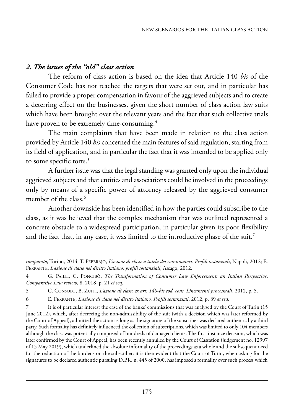## *2. The issues of the "old" class action*

The reform of class action is based on the idea that Article 140 *bis* of the Consumer Code has not reached the targets that were set out, and in particular has failed to provide a proper compensation in favour of the aggrieved subjects and to create a deterring effect on the businesses, given the short number of class action law suits which have been brought over the relevant years and the fact that such collective trials have proven to be extremely time-consuming.<sup>4</sup>

The main complaints that have been made in relation to the class action provided by Article 140 *bis* concerned the main features of said regulation, starting from its field of application, and in particular the fact that it was intended to be applied only to some specific torts.<sup>5</sup>

a further issue was that the legal standing was granted only upon the individual aggrieved subjects and that entities and associations could be involved in the proceedings only by means of a specific power of attorney released by the aggrieved consumer member of the class.<sup>6</sup>

another downside has been identified in how the parties could subscribe to the class, as it was believed that the complex mechanism that was outlined represented a concrete obstacle to a widespread participation, in particular given its poor flexibility and the fact that, in any case, it was limited to the introductive phase of the suit.<sup>7</sup>

6 e. ferrante, *L'azione di classe nel diritto italiano. Profili sostanziali*, 2012, p. 89 *et seq*.

7 it is of particular interest the case of the banks' commissions that was analysed by the Court of turin (15 June 2012), which, after decreeing the non-admissibility of the suit (with a decision which was later reformed by the Court of appeal), admitted the action as long as the signature of the subscriber was declared authentic by a third party. such formality has definitely influenced the collection of subscriptions, which was limited to only 104 members although the class was potentially composed of hundreds of damaged clients. the first-instance decision, which was later confirmed by the Court of Appeal, has been recently annulled by the Court of Cassation (judgement no. 12997 of 15 may 2019), which underlined the absolute informality of the proceedings as a whole and the subsequent need for the reduction of the burdens on the subscriber: it is then evident that the Court of Turin, when asking for the signatures to be declared authentic pursuing D.P.R. n. 445 of 2000, has imposed a formality over such process which

*comparato*, torino, 2014; t. feBBraJo, *L'azione di classe a tutela dei consumatori. Profili sostanziali*, napoli, 2012; e. FERRANTE, *L'azione di classe nel diritto italiano: profili sostanziali*, Assago, 2012.

<sup>4</sup> G. pailli, C. ponCiBò, *The Transformation of Consumer Law Enforcement: an Italian Perspective*, *Comparative Law review*, 8, 2018, p. 21 *et seq*.

<sup>5</sup> C. Consolo, B. Zuffi, *L'azione di classe ex art. 140-bis cod. cons. Lineamenti processuali*, 2012, p. 5.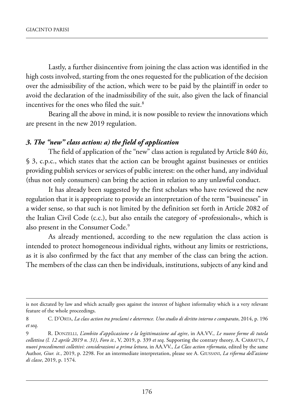lastly, a further disincentive from joining the class action was identified in the high costs involved, starting from the ones requested for the publication of the decision over the admissibility of the action, which were to be paid by the plaintiff in order to avoid the declaration of the inadmissibility of the suit, also given the lack of financial incentives for the ones who filed the suit.<sup>8</sup>

Bearing all the above in mind, it is now possible to review the innovations which are present in the new 2019 regulation.

#### *3. The "new" class action: a) the field of application*

The field of application of the "new" class action is regulated by Article 840 *bis*, § 3, c.p.c., which states that the action can be brought against businesses or entities providing publish services or services of public interest: on the other hand, any individual (thus not only consumers) can bring the action in relation to any unlawful conduct.

It has already been suggested by the first scholars who have reviewed the new regulation that it is appropriate to provide an interpretation of the term "businesses" in a wider sense, so that such is not limited by the definition set forth in Article 2082 of the Italian Civil Code (c.c.), but also entails the category of «professionals», which is also present in the Consumer Code.<sup>9</sup>

As already mentioned, according to the new regulation the class action is intended to protect homogeneous individual rights, without any limits or restrictions, as it is also confirmed by the fact that any member of the class can bring the action. The members of the class can then be individuals, institutions, subjects of any kind and

is not dictated by law and which actually goes against the interest of highest informality which is a very relevant feature of the whole proceedings.

<sup>8</sup> C. D'ORTA, *La class action tra proclami e deterrence. Uno studio di diritto interno e comparato*, 2014, p. 196 *et seq*.

<sup>9</sup> R. DONZELLI, *L'ambito d'applicazione e la legittimazione ad agire*, in AA.VV., *Le nuove forme di tutela collettiva (l. 12 aprile 2019 n. 31)*, *Foro it.*, V, 2019, p. 339 *et seq*. supporting the contrary theory, a. Carratta, *I nuovi procedimenti collettivi: considerazioni a prima lettura*, in AA.VV., *La Class action riformata*, edited by the same author, *Giur. it.*, 2019, p. 2298. for an intermediate interpretation, please see a. Giussani, *La riforma dell'azione di classe*, 2019, p. 1574.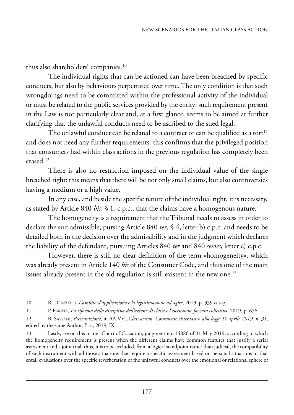thus also shareholders' companies.10

The individual rights that can be actioned can have been breached by specific conducts, but also by behaviours perpetrated over time. The only condition is that such wrongdoings need to be committed within the professional activity of the individual or must be related to the public services provided by the entity: such requirement present in the law is not particularly clear and, at a first glance, seems to be aimed at further clarifying that the unlawful conducts need to be ascribed to the sued legal.

The unlawful conduct can be related to a contract or can be qualified as a tort<sup>11</sup> and does not need any further requirements: this confirms that the privileged position that consumers had within class actions in the previous regulation has completely been erased.12

There is also no restriction imposed on the individual value of the single breached right: this means that there will be not only small claims, but also controversies having a medium or a high value.

In any case, and beside the specific nature of the individual right, it is necessary, as stated by Article 840 *bis*, § 1, c.p.c., that the claims have a homogenous nature.

The homogeneity is a requirement that the Tribunal needs to assess in order to declare the suit admissible, pursing Article 840 *ter*, § 4, letter b) c.p.c. and needs to be detailed both in the decision over the admissibility and in the judgment which declares the liability of the defendant, pursuing Articles 840 *ter* and 840 *sexies*, letter c) c.p.c.

however, there is still no clear definition of the term «homogeneity», which was already present in Article 140 *bis* of the Consumer Code, and thus one of the main issues already present in the old regulation is still existent in the new one.<sup>13</sup>

<sup>10</sup> r. donZelli, *L'ambito d'applicazione e la legittimazione ad agire*, 2019, p. 339 *et seq*.

<sup>11</sup> p. farina, *La riforma della disciplina dell'azione di classe e l'esecuzione forzata collettiva*, 2019, p. 656.

<sup>12</sup> B. sassani, *Presentazione*, in aa.VV., *Class action. Commento sistematico alla legge 12 aprile 2019, n. 31*, edited by the same Author, Pisa, 2019, IX.

<sup>13</sup> Lastly, see on this matter Court of Cassation, judgment no. 14886 of 31 May 2019, according to which the homogeneity requirement is present when the different claims have common features that justify a serial assessment and a joint trial: thus, it is to be excluded, from a logical standpoint rather than judicial, the compatibility of such instrument with all those situations that require a specific assessment based on personal situations or that entail evaluations over the specific reverberation of the unlawful conducts over the emotional or relational sphere of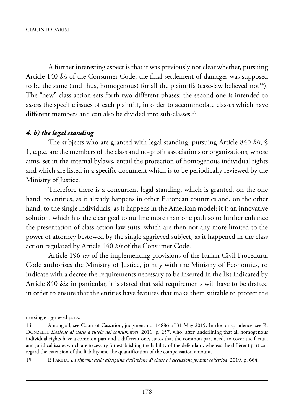a further interesting aspect is that it was previously not clear whether, pursuing article 140 *bis* of the Consumer Code, the final settlement of damages was supposed to be the same (and thus, homogenous) for all the plaintiffs (case-law believed not<sup>14</sup>). The "new" class action sets forth two different phases: the second one is intended to assess the specific issues of each plaintiff, in order to accommodate classes which have different members and can also be divided into sub-classes.<sup>15</sup>

### *4. b) the legal standing*

The subjects who are granted with legal standing, pursuing Article 840 *bis*, § 1, c.p.c. are the members of the class and no-profit associations or organizations, whose aims, set in the internal bylaws, entail the protection of homogenous individual rights and which are listed in a specific document which is to be periodically reviewed by the Ministry of Justice.

Therefore there is a concurrent legal standing, which is granted, on the one hand, to entities, as it already happens in other European countries and, on the other hand, to the single individuals, as it happens in the American model: it is an innovative solution, which has the clear goal to outline more than one path so to further enhance the presentation of class action law suits, which are then not any more limited to the power of attorney bestowed by the single aggrieved subject, as it happened in the class action regulated by Article 140 *bis* of the Consumer Code.

Article 196 *ter* of the implementing provisions of the Italian Civil Procedural Code authorises the Ministry of Justice, jointly with the Ministry of Economics, to indicate with a decree the requirements necessary to be inserted in the list indicated by article 840 *bis*: in particular, it is stated that said requirements will have to be drafted in order to ensure that the entities have features that make them suitable to protect the

the single aggrieved party.

<sup>14</sup> Among all, see Court of Cassation, judgment no. 14886 of 31 May 2019. In the jurisprudence, see R. DONZELLI, *L'azione di classe a tutela dei consumatori*, 2011, p. 257, who, after underlining that all homogenous individual rights have a common part and a different one, states that the common part needs to cover the factual and juridical issues which are necessary for establishing the liability of the defendant, whereas the different part can regard the extension of the liability and the quantification of the compensation amount.

<sup>15</sup> p. farina, *La riforma della disciplina dell'azione di classe e l'esecuzione forzata collettiva*, 2019, p. 664.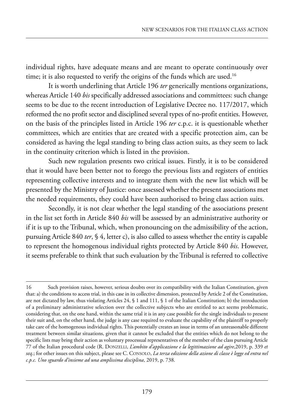individual rights, have adequate means and are meant to operate continuously over time; it is also requested to verify the origins of the funds which are used.<sup>16</sup>

It is worth underlining that Article 196 *ter* generically mentions organizations, whereas Article 140 *bis* specifically addressed associations and committees: such change seems to be due to the recent introduction of Legislative Decree no. 117/2017, which reformed the no profit sector and disciplined several types of no-profit entities. however, on the basis of the principles listed in Article 196 *ter* c.p.c. it is questionable whether committees, which are entities that are created with a specific protection aim, can be considered as having the legal standing to bring class action suits, as they seem to lack in the continuity criterion which is listed in the provision.

Such new regulation presents two critical issues. Firstly, it is to be considered that it would have been better not to forego the previous lists and registers of entities representing collective interests and to integrate them with the new list which will be presented by the ministry of Justice: once assessed whether the present associations met the needed requirements, they could have been authorised to bring class action suits.

secondly, it is not clear whether the legal standing of the associations present in the list set forth in article 840 *bis* will be assessed by an administrative authority or if it is up to the Tribunal, which, when pronouncing on the admissibility of the action, pursuing article 840 *ter*, § 4, letter c), is also called to assess whether the entity is capable to represent the homogenous individual rights protected by Article 840 *bis*. However, it seems preferable to think that such evaluation by the Tribunal is referred to collective

<sup>16</sup> Such provision raises, however, serious doubts over its compatibility with the Italian Constitution, given that: a) the conditions to access trial, in this case in its collective dimension, protected by article 2 of the Constitution, are not dictated by law, thus violating articles 24, § 1 and 111, § 1 of the italian Constitution; b) the introduction of a preliminary administrative selection over the collective subjects who are entitled to act seems problematic, considering that, on the one hand, within the same trial it is in any case possible for the single individuals to present their suit and, on the other hand, the judge is any case required to evaluate the capability of the plaintiff to properly take care of the homogenous individual rights. This potentially creates an issue in terms of an unreasonable different treatment between similar situations, given that it cannot be excluded that the entities which do not belong to the specific lists may bring their action as voluntary processual representatives of the member of the class pursuing Article 77 of the Italian procedural code (R. DONZELLI, *L'ambito d'applicazione e la legittimazione ad agire*,2019, p. 339 et *seq*.; for other issues on this subject, please see C. Consolo, *La terza edizione della azione di classe è legge ed entra nel c.p.c. Uno sguardo d'insieme ad una amplissima disciplina*, 2019, p. 738.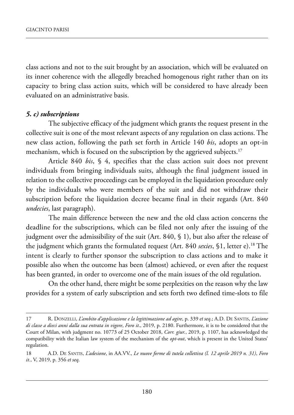class actions and not to the suit brought by an association, which will be evaluated on its inner coherence with the allegedly breached homogenous right rather than on its capacity to bring class action suits, which will be considered to have already been evaluated on an administrative basis.

#### *5. c) subscriptions*

The subjective efficacy of the judgment which grants the request present in the collective suit is one of the most relevant aspects of any regulation on class actions. The new class action, following the path set forth in article 140 *bis*, adopts an opt-in mechanism, which is focused on the subscription by the aggrieved subjects.<sup>17</sup>

Article 840 *bis*, § 4, specifies that the class action suit does not prevent individuals from bringing individuals suits, although the final judgment issued in relation to the collective proceedings can be employed in the liquidation procedure only by the individuals who were members of the suit and did not withdraw their subscription before the liquidation decree became final in their regards (Art. 840 *undecies*, last paragraph).

The main difference between the new and the old class action concerns the deadline for the subscriptions, which can be filed not only after the issuing of the judgment over the admissibility of the suit (Art. 840,  $\S$  1), but also after the release of the judgment which grants the formulated request (Art. 840 *sexies*, §1, letter e).<sup>18</sup> The intent is clearly to further sponsor the subscription to class actions and to make it possible also when the outcome has been (almost) achieved, or even after the request has been granted, in order to overcome one of the main issues of the old regulation.

On the other hand, there might be some perplexities on the reason why the law provides for a system of early subscription and sets forth two defined time-slots to file

<sup>17</sup> R. DONZELLI, *L'ambito d'applicazione e la legittimazione ad agire*, p. 339 *et seq.*; A.D. DE SANTIS, *L'azione di classe a dieci anni dalla sua entrata in vigore*, *Foro it*., 2019, p. 2180. furthermore, it is to be considered that the Court of milan, with judgment no. 10773 of 25 october 2018, *Corr. giur.*, 2019, p. 1107, has acknowledged the compatibility with the Italian law system of the mechanism of the *opt-out*, which is present in the United States' regulation.

<sup>18</sup> a.d. de santis, *L'adesione*, in aa.VV., *Le nuove forme di tutela collettiva (l. 12 aprile 2019 n. 31)*, *Foro it.*, V, 2019, p. 356 *et seq*.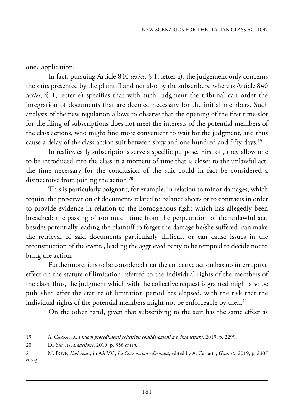one's application.

In fact, pursuing Article 840 *sexies*, § 1, letter a), the judgement only concerns the suits presented by the plaintiff and not also by the subscribers, whereas Article 840 *sexies*, § 1, letter e) specifies that with such judgment the tribunal can order the integration of documents that are deemed necessary for the initial members. Such analysis of the new regulation allows to observe that the opening of the first time-slot for the filing of subscriptions does not meet the interests of the potential members of the class actions, who might find more convenient to wait for the judgment, and thus cause a delay of the class action suit between sixty and one hundred and fifty days.19

In reality, early subscriptions serve a specific purpose. First off, they allow one to be introduced into the class in a moment of time that is closer to the unlawful act; the time necessary for the conclusion of the suit could in fact be considered a disincentive from joining the action.<sup>20</sup>

This is particularly poignant, for example, in relation to minor damages, which require the preservation of documents related to balance sheets or to contracts in order to provide evidence in relation to the homogenous right which has allegedly been breached: the passing of too much time from the perpetration of the unlawful act, besides potentially leading the plaintiff to forget the damage he/she suffered, can make the retrieval of said documents particularly difficult or can cause issues in the reconstruction of the events, leading the aggrieved party to be tempted to decide not to bring the action.

furthermore, it is to be considered that the collective action has no interruptive effect on the statute of limitation referred to the individual rights of the members of the class: thus, the judgment which with the collective request is granted might also be published after the statute of limitation period has elapsed, with the risk that the individual rights of the potential members might not be enforceable by then.<sup>21</sup>

On the other hand, given that subscribing to the suit has the same effect as

<sup>19</sup> A. CARRATTA, *I nuovi procedimenti collettivi: considerazioni a prima lettura*, 2019, p. 2299.

<sup>20</sup> de santis, *L'adesione*, 2019, p. 356 *et seq*.

<sup>21</sup> M. BOVE, *L'aderente*, in AA.VV., *La Class action riformata*, edited by A. Carratta, *Giur. it.*, 2019, p. 2307 *et seq*.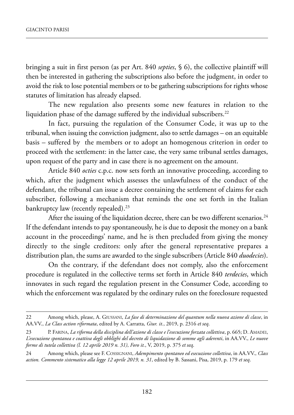bringing a suit in first person (as per Art. 840 *septies*, § 6), the collective plaintiff will then be interested in gathering the subscriptions also before the judgment, in order to avoid the risk to lose potential members or to be gathering subscriptions for rights whose statutes of limitation has already elapsed.

The new regulation also presents some new features in relation to the liquidation phase of the damage suffered by the individual subscribers.<sup>22</sup>

In fact, pursuing the regulation of the Consumer Code, it was up to the tribunal, when issuing the conviction judgment, also to settle damages – on an equitable basis – suffered by the members or to adopt an homogenous criterion in order to proceed with the settlement: in the latter case, the very same tribunal settles damages, upon request of the party and in case there is no agreement on the amount.

article 840 *octies* c.p.c. now sets forth an innovative proceeding, according to which, after the judgment which assesses the unlawfulness of the conduct of the defendant, the tribunal can issue a decree containing the settlement of claims for each subscriber, following a mechanism that reminds the one set forth in the Italian bankruptcy law (recently repealed).<sup>23</sup>

After the issuing of the liquidation decree, there can be two different scenarios.<sup>24</sup> If the defendant intends to pay spontaneously, he is due to deposit the money on a bank account in the proceedings' name, and he is then precluded from giving the money directly to the single creditors: only after the general representative prepares a distribution plan, the sums are awarded to the single subscribers (Article 840 *duodecies*).

On the contrary, if the defendant does not comply, also the enforcement procedure is regulated in the collective terms set forth in Article 840 *terdecies*, which innovates in such regard the regulation present in the Consumer Code, according to which the enforcement was regulated by the ordinary rules on the foreclosure requested

<sup>22</sup> Among which, please, A. Giussani, *La fase di determinazione del quantum nella nuova azione di classe*, in AA.VV., *La Class action riformata*, edited by A. Carratta, *Giur. it.*, 2019, p. 2316 et seq.

<sup>23</sup> p. Farina, *La riforma della disciplina dell'azione di classe e l'esecuzione forzata collettiva*, p. 665; D. Amadei, L'esecuzione spontanea e coattiva degli obblighi del decreto di liquidazione di somme agli aderenti, in AA.VV., Le nuove *forme di tutela collettiva (l. 12 aprile 2019 n. 31)*, *Foro it.*, V, 2019, p. 375 *et seq*.

<sup>24</sup> Among which, please see F. COSSIGNANI, *Adempimento spontaneo ed esecuzione collettiva*, in AA.VV., *Class action. Commento sistematico alla legge 12 aprile 2019, n. 31*, edited by B. sassani, pisa, 2019, p. 179 *et seq*.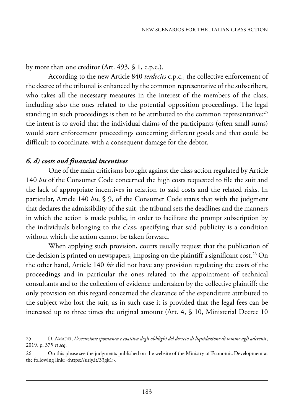by more than one creditor (Art.  $493$ ,  $\frac{1}{9}$ , c.p.c.).

According to the new Article 840 *terdecies* c.p.c., the collective enforcement of the decree of the tribunal is enhanced by the common representative of the subscribers, who takes all the necessary measures in the interest of the members of the class, including also the ones related to the potential opposition proceedings. The legal standing in such proceedings is then to be attributed to the common representative:<sup>25</sup> the intent is to avoid that the individual claims of the participants (often small sums) would start enforcement proceedings concerning different goods and that could be difficult to coordinate, with a consequent damage for the debtor.

## *6. d) costs and financial incentives*

One of the main criticisms brought against the class action regulated by Article 140 *bis* of the Consumer Code concerned the high costs requested to file the suit and the lack of appropriate incentives in relation to said costs and the related risks. in particular, article 140 *bis*, § 9, of the Consumer Code states that with the judgment that declares the admissibility of the suit, the tribunal sets the deadlines and the manners in which the action is made public, in order to facilitate the prompt subscription by the individuals belonging to the class, specifying that said publicity is a condition without which the action cannot be taken forward.

when applying such provision, courts usually request that the publication of the decision is printed on newspapers, imposing on the plaintiff a significant cost.<sup>26</sup> On the other hand, Article 140 *bis* did not have any provision regulating the costs of the proceedings and in particular the ones related to the appointment of technical consultants and to the collection of evidence undertaken by the collective plaintiff: the only provision on this regard concerned the clearance of the expenditure attributed to the subject who lost the suit, as in such case it is provided that the legal fees can be increased up to three times the original amount (Art.  $4, $10,$  Ministerial Decree 10

<sup>25</sup> d. amadei, *L'esecuzione spontanea e coattiva degli obblighi del decreto di liquidazione di somme agli aderenti*, 2019, p. 375 *et seq*.

<sup>26</sup> On this please see the judgments published on the website of the Ministry of Economic Development at the following link: <https://urly.it/33gk1>.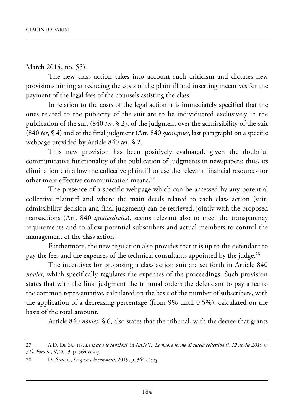March 2014, no. 55).

The new class action takes into account such criticism and dictates new provisions aiming at reducing the costs of the plaintiff and inserting incentives for the payment of the legal fees of the counsels assisting the class.

In relation to the costs of the legal action it is immediately specified that the ones related to the publicity of the suit are to be individuated exclusively in the publication of the suit (840 *ter*, § 2), of the judgment over the admissibility of the suit  $(840 \text{ ter}, \text{S}4)$  and of the final judgment (Art. 840 *quinquies*, last paragraph) on a specific webpage provided by Article 840 *ter*, § 2.

This new provision has been positively evaluated, given the doubtful communicative functionality of the publication of judgments in newspapers: thus, its elimination can allow the collective plaintiff to use the relevant financial resources for other more effective communication means.<sup>27</sup>

The presence of a specific webpage which can be accessed by any potential collective plaintiff and where the main deeds related to each class action (suit, admissibility decision and final judgment) can be retrieved, jointly with the proposed transactions (Art. 840 *quaterdecies*), seems relevant also to meet the transparency requirements and to allow potential subscribers and actual members to control the management of the class action.

furthermore, the new regulation also provides that it is up to the defendant to pay the fees and the expenses of the technical consultants appointed by the judge.<sup>28</sup>

The incentives for proposing a class action suit are set forth in Article 840 *novies*, which specifically regulates the expenses of the proceedings. Such provision states that with the final judgment the tribunal orders the defendant to pay a fee to the common representative, calculated on the basis of the number of subscribers, with the application of a decreasing percentage (from 9% until 0,5%), calculated on the basis of the total amount.

article 840 *novies*, § 6, also states that the tribunal, with the decree that grants

<sup>27</sup> A.D. DE SANTIS, *Le spese e le sanzioni*, in AA.VV., *Le nuove forme di tutela collettiva (l. 12 aprile 2019 n. 31)*, *Foro it.*, V, 2019, p. 364 *et seq*.

<sup>28</sup> de santis, *Le spese e le sanzioni*, 2019, p. 364 *et seq*.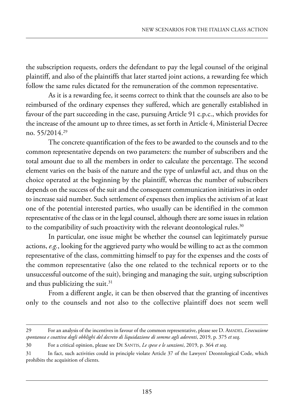the subscription requests, orders the defendant to pay the legal counsel of the original plaintiff, and also of the plaintiffs that later started joint actions, a rewarding fee which follow the same rules dictated for the remuneration of the common representative.

As it is a rewarding fee, it seems correct to think that the counsels are also to be reimbursed of the ordinary expenses they suffered, which are generally established in favour of the part succeeding in the case, pursuing Article 91 c.p.c., which provides for the increase of the amount up to three times, as set forth in Article 4, Ministerial Decree no. 55/2014.29

The concrete quantification of the fees to be awarded to the counsels and to the common representative depends on two parameters: the number of subscribers and the total amount due to all the members in order to calculate the percentage. the second element varies on the basis of the nature and the type of unlawful act, and thus on the choice operated at the beginning by the plaintiff, whereas the number of subscribers depends on the success of the suit and the consequent communication initiatives in order to increase said number. Such settlement of expenses then implies the activism of at least one of the potential interested parties, who usually can be identified in the common representative of the class or in the legal counsel, although there are some issues in relation to the compatibility of such proactivity with the relevant deontological rules.<sup>30</sup>

In particular, one issue might be whether the counsel can legitimately pursue actions, *e.g.*, looking for the aggrieved party who would be willing to act as the common representative of the class, committing himself to pay for the expenses and the costs of the common representative (also the one related to the technical reports or to the unsuccessful outcome of the suit), bringing and managing the suit, urging subscription and thus publicizing the suit. $31$ 

from a different angle, it can be then observed that the granting of incentives only to the counsels and not also to the collective plaintiff does not seem well

<sup>29</sup> For an analysis of the incentives in favour of the common representative, please see D. AMADEI, *L'esecuzione spontanea e coattiva degli obblighi del decreto di liquidazione di somme agli aderenti*, 2019, p. 375 *et seq*.

<sup>30</sup> for a critical opinion, please see de santis, *Le spese e le sanzioni*, 2019, p. 364 *et seq*.

<sup>31</sup> In fact, such activities could in principle violate Article 37 of the Lawyers' Deontological Code, which prohibits the acquisition of clients.